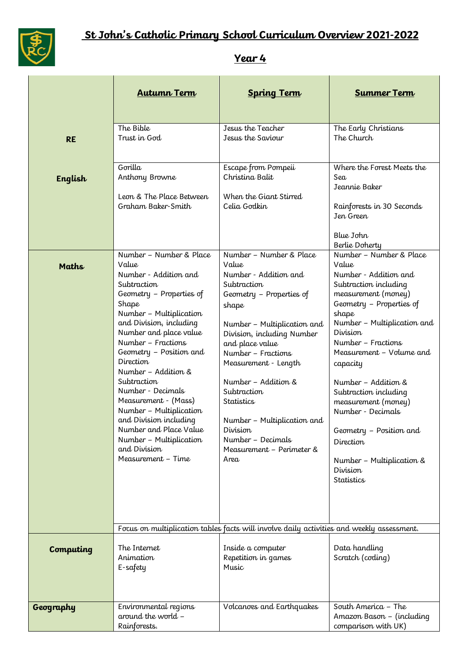

## **Year 4**

|              | <b>Autumn Term</b>                                                                                                                                                                                                                                                                                                                                                                                                                                                  | <b>Spring Term</b>                                                                                                                                                                                                                                                                                                                                                                                                                                                     | <b>Summer Term</b>                                                                                                                                                                                                                                                                                                                                                                                                      |
|--------------|---------------------------------------------------------------------------------------------------------------------------------------------------------------------------------------------------------------------------------------------------------------------------------------------------------------------------------------------------------------------------------------------------------------------------------------------------------------------|------------------------------------------------------------------------------------------------------------------------------------------------------------------------------------------------------------------------------------------------------------------------------------------------------------------------------------------------------------------------------------------------------------------------------------------------------------------------|-------------------------------------------------------------------------------------------------------------------------------------------------------------------------------------------------------------------------------------------------------------------------------------------------------------------------------------------------------------------------------------------------------------------------|
| <b>RE</b>    | The Bible<br>Trust in God                                                                                                                                                                                                                                                                                                                                                                                                                                           | Jesus the Teacher<br>Jesus the Saviour                                                                                                                                                                                                                                                                                                                                                                                                                                 | The Early Christians<br>The Church                                                                                                                                                                                                                                                                                                                                                                                      |
| English      | Gorilla<br>Anthony Browne<br>Leon & The Place Between<br>Graham Baker-Smith<br>Number - Number & Place                                                                                                                                                                                                                                                                                                                                                              | Escape from Pompeii<br>Christina Balit<br>When the Giant Stirred<br>Celia Godkin<br>Number - Number & Place                                                                                                                                                                                                                                                                                                                                                            | Where the Forest Meets the<br>Sea<br>Jeannie Baker<br>Rainforests in 30 Seconds<br>Jen Green<br>Blue John<br>Berlie Doherty<br>Number - Number & Place                                                                                                                                                                                                                                                                  |
| <b>Maths</b> | Value<br>Number - Addition and<br>Subtraction<br>Geometry - Properties of<br>Shape<br>Number - Multiplication<br>and Division, including<br>Number and place value<br>Number - Fractions<br>Geometry - Position and<br>Direction<br>Number - Addition &<br>Subtraction<br>Number - Decimals<br>Measurement - (Mass)<br>Number - Multiplication<br>and Division including<br>Number and Place Value<br>Number - Multiplication<br>and Division<br>Measurement - Time | Value<br>Number - Addition and<br>Subtraction<br>Geometry - Properties of<br>shape<br>Number - Multiplication and<br>Division, including Number<br>and place value<br>Number - Fractions<br>Measurement - Length<br>Number - Addition &<br>Subtraction<br>Statistics<br>Number – Multiplication and<br>Division<br>Number - Decimals<br>Measurement – Perimeter &<br>Area<br>Focus on multiplication tables facts will involve daily activities and weekly assessment. | Value<br>Number - Addition and<br>Subtraction including<br>measurement (money)<br>Geometry - Properties of<br>shape<br>Number - Multiplication and<br>Division<br>Number - Fractions<br>Measurement - Volume and<br>capacity<br>Number - Addition &<br>Subtraction including<br>measurement (money)<br>Number - Decimals<br>Geometry - Position and<br>Direction<br>Number - Multiplication &<br>Division<br>Statistics |
| Computing    | The Internet<br>Animation<br>E-safety                                                                                                                                                                                                                                                                                                                                                                                                                               | Inside a computer<br>Repetition in games<br>Music                                                                                                                                                                                                                                                                                                                                                                                                                      | Data handling<br>Scratch (coding)                                                                                                                                                                                                                                                                                                                                                                                       |
| Geography    | Environmental regions<br>around the world -<br>Rainforests.                                                                                                                                                                                                                                                                                                                                                                                                         | Volcanoes and Earthquakes                                                                                                                                                                                                                                                                                                                                                                                                                                              | South America - The<br>Amazon Bason - (including<br>comparison with UK)                                                                                                                                                                                                                                                                                                                                                 |